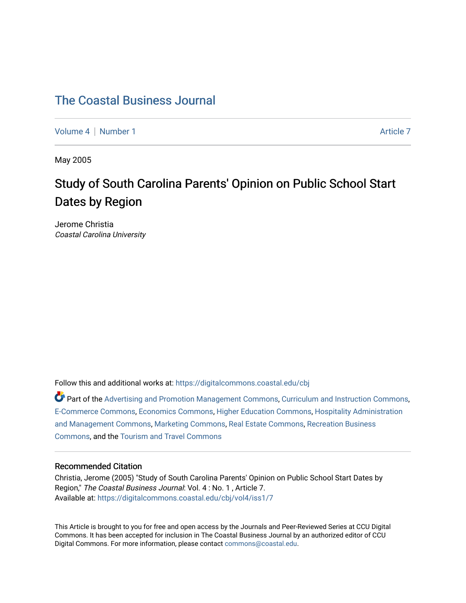## [The Coastal Business Journal](https://digitalcommons.coastal.edu/cbj)

[Volume 4](https://digitalcommons.coastal.edu/cbj/vol4) | [Number 1](https://digitalcommons.coastal.edu/cbj/vol4/iss1) Article 7

May 2005

# Study of South Carolina Parents' Opinion on Public School Start Dates by Region

Jerome Christia Coastal Carolina University

Follow this and additional works at: [https://digitalcommons.coastal.edu/cbj](https://digitalcommons.coastal.edu/cbj?utm_source=digitalcommons.coastal.edu%2Fcbj%2Fvol4%2Fiss1%2F7&utm_medium=PDF&utm_campaign=PDFCoverPages) 

Part of the [Advertising and Promotion Management Commons,](http://network.bepress.com/hgg/discipline/626?utm_source=digitalcommons.coastal.edu%2Fcbj%2Fvol4%2Fiss1%2F7&utm_medium=PDF&utm_campaign=PDFCoverPages) [Curriculum and Instruction Commons,](http://network.bepress.com/hgg/discipline/786?utm_source=digitalcommons.coastal.edu%2Fcbj%2Fvol4%2Fiss1%2F7&utm_medium=PDF&utm_campaign=PDFCoverPages) [E-Commerce Commons,](http://network.bepress.com/hgg/discipline/624?utm_source=digitalcommons.coastal.edu%2Fcbj%2Fvol4%2Fiss1%2F7&utm_medium=PDF&utm_campaign=PDFCoverPages) [Economics Commons](http://network.bepress.com/hgg/discipline/340?utm_source=digitalcommons.coastal.edu%2Fcbj%2Fvol4%2Fiss1%2F7&utm_medium=PDF&utm_campaign=PDFCoverPages), [Higher Education Commons](http://network.bepress.com/hgg/discipline/1245?utm_source=digitalcommons.coastal.edu%2Fcbj%2Fvol4%2Fiss1%2F7&utm_medium=PDF&utm_campaign=PDFCoverPages), [Hospitality Administration](http://network.bepress.com/hgg/discipline/632?utm_source=digitalcommons.coastal.edu%2Fcbj%2Fvol4%2Fiss1%2F7&utm_medium=PDF&utm_campaign=PDFCoverPages) [and Management Commons,](http://network.bepress.com/hgg/discipline/632?utm_source=digitalcommons.coastal.edu%2Fcbj%2Fvol4%2Fiss1%2F7&utm_medium=PDF&utm_campaign=PDFCoverPages) [Marketing Commons](http://network.bepress.com/hgg/discipline/638?utm_source=digitalcommons.coastal.edu%2Fcbj%2Fvol4%2Fiss1%2F7&utm_medium=PDF&utm_campaign=PDFCoverPages), [Real Estate Commons](http://network.bepress.com/hgg/discipline/641?utm_source=digitalcommons.coastal.edu%2Fcbj%2Fvol4%2Fiss1%2F7&utm_medium=PDF&utm_campaign=PDFCoverPages), [Recreation Business](http://network.bepress.com/hgg/discipline/1083?utm_source=digitalcommons.coastal.edu%2Fcbj%2Fvol4%2Fiss1%2F7&utm_medium=PDF&utm_campaign=PDFCoverPages) [Commons](http://network.bepress.com/hgg/discipline/1083?utm_source=digitalcommons.coastal.edu%2Fcbj%2Fvol4%2Fiss1%2F7&utm_medium=PDF&utm_campaign=PDFCoverPages), and the [Tourism and Travel Commons](http://network.bepress.com/hgg/discipline/1082?utm_source=digitalcommons.coastal.edu%2Fcbj%2Fvol4%2Fiss1%2F7&utm_medium=PDF&utm_campaign=PDFCoverPages)

#### Recommended Citation

Christia, Jerome (2005) "Study of South Carolina Parents' Opinion on Public School Start Dates by Region," The Coastal Business Journal: Vol. 4 : No. 1 , Article 7. Available at: [https://digitalcommons.coastal.edu/cbj/vol4/iss1/7](https://digitalcommons.coastal.edu/cbj/vol4/iss1/7?utm_source=digitalcommons.coastal.edu%2Fcbj%2Fvol4%2Fiss1%2F7&utm_medium=PDF&utm_campaign=PDFCoverPages)

This Article is brought to you for free and open access by the Journals and Peer-Reviewed Series at CCU Digital Commons. It has been accepted for inclusion in The Coastal Business Journal by an authorized editor of CCU Digital Commons. For more information, please contact [commons@coastal.edu](mailto:commons@coastal.edu).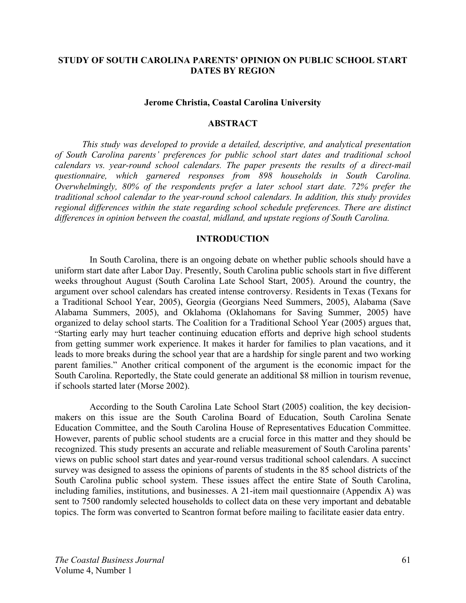### **STUDY OF SOUTH CAROLINA PARENTS' OPINION ON PUBLIC SCHOOL START DATES BY REGION**

#### **Jerome Christia, Coastal Carolina University**

#### **ABSTRACT**

*This study was developed to provide a detailed, descriptive, and analytical presentation of South Carolina parents' preferences for public school start dates and traditional school calendars vs. year-round school calendars. The paper presents the results of a direct-mail questionnaire, which garnered responses from 898 households in South Carolina. Overwhelmingly, 80% of the respondents prefer a later school start date. 72% prefer the traditional school calendar to the year-round school calendars. In addition, this study provides regional differences within the state regarding school schedule preferences. There are distinct differences in opinion between the coastal, midland, and upstate regions of South Carolina.* 

## **INTRODUCTION**

In South Carolina, there is an ongoing debate on whether public schools should have a uniform start date after Labor Day. Presently, South Carolina public schools start in five different weeks throughout August (South Carolina Late School Start, 2005). Around the country, the argument over school calendars has created intense controversy. Residents in Texas (Texans for a Traditional School Year, 2005), Georgia (Georgians Need Summers, 2005), Alabama (Save Alabama Summers, 2005), and Oklahoma (Oklahomans for Saving Summer, 2005) have organized to delay school starts. The Coalition for a Traditional School Year (2005) argues that, "Starting early may hurt teacher continuing education efforts and deprive high school students from getting summer work experience. It makes it harder for families to plan vacations, and it leads to more breaks during the school year that are a hardship for single parent and two working parent families." Another critical component of the argument is the economic impact for the South Carolina. Reportedly, the State could generate an additional \$8 million in tourism revenue, if schools started later (Morse 2002).

 According to the South Carolina Late School Start (2005) coalition, the key decisionmakers on this issue are the South Carolina Board of Education, South Carolina Senate Education Committee, and the South Carolina House of Representatives Education Committee. However, parents of public school students are a crucial force in this matter and they should be recognized. This study presents an accurate and reliable measurement of South Carolina parents' views on public school start dates and year-round versus traditional school calendars. A succinct survey was designed to assess the opinions of parents of students in the 85 school districts of the South Carolina public school system. These issues affect the entire State of South Carolina, including families, institutions, and businesses. A 21-item mail questionnaire (Appendix A) was sent to 7500 randomly selected households to collect data on these very important and debatable topics. The form was converted to Scantron format before mailing to facilitate easier data entry.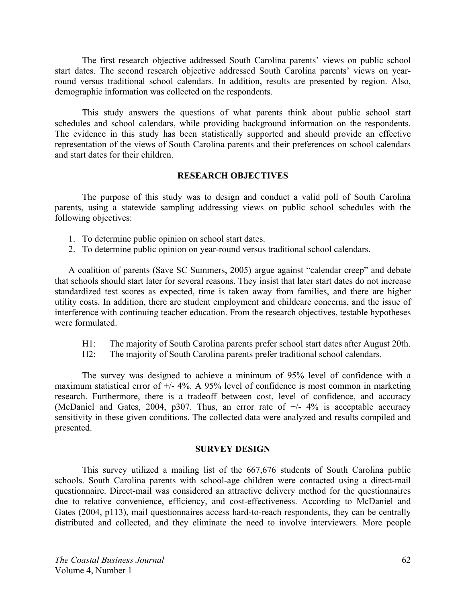The first research objective addressed South Carolina parents' views on public school start dates. The second research objective addressed South Carolina parents' views on yearround versus traditional school calendars. In addition, results are presented by region. Also, demographic information was collected on the respondents.

 This study answers the questions of what parents think about public school start schedules and school calendars, while providing background information on the respondents. The evidence in this study has been statistically supported and should provide an effective representation of the views of South Carolina parents and their preferences on school calendars and start dates for their children.

## **RESEARCH OBJECTIVES**

The purpose of this study was to design and conduct a valid poll of South Carolina parents, using a statewide sampling addressing views on public school schedules with the following objectives:

- 1. To determine public opinion on school start dates.
- 2. To determine public opinion on year-round versus traditional school calendars.

A coalition of parents (Save SC Summers, 2005) argue against "calendar creep" and debate that schools should start later for several reasons. They insist that later start dates do not increase standardized test scores as expected, time is taken away from families, and there are higher utility costs. In addition, there are student employment and childcare concerns, and the issue of interference with continuing teacher education. From the research objectives, testable hypotheses were formulated.

- H1: The majority of South Carolina parents prefer school start dates after August 20th.
- H2: The majority of South Carolina parents prefer traditional school calendars.

The survey was designed to achieve a minimum of 95% level of confidence with a maximum statistical error of +/- 4%. A 95% level of confidence is most common in marketing research. Furthermore, there is a tradeoff between cost, level of confidence, and accuracy (McDaniel and Gates, 2004, p307. Thus, an error rate of  $+/- 4\%$  is acceptable accuracy sensitivity in these given conditions. The collected data were analyzed and results compiled and presented.

#### **SURVEY DESIGN**

This survey utilized a mailing list of the 667,676 students of South Carolina public schools. South Carolina parents with school-age children were contacted using a direct-mail questionnaire. Direct-mail was considered an attractive delivery method for the questionnaires due to relative convenience, efficiency, and cost-effectiveness. According to McDaniel and Gates (2004, p113), mail questionnaires access hard-to-reach respondents, they can be centrally distributed and collected, and they eliminate the need to involve interviewers. More people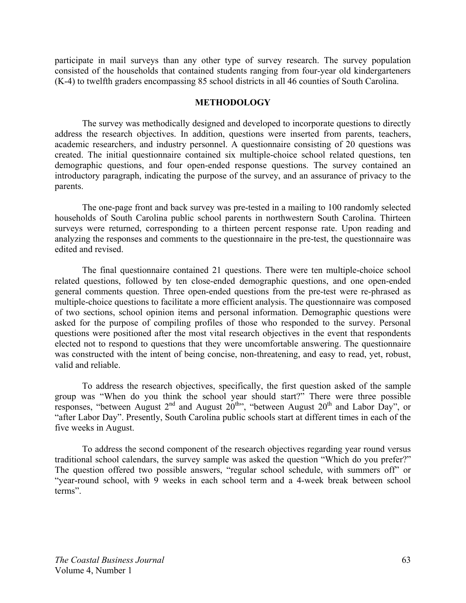participate in mail surveys than any other type of survey research. The survey population consisted of the households that contained students ranging from four-year old kindergarteners (K-4) to twelfth graders encompassing 85 school districts in all 46 counties of South Carolina.

#### **METHODOLOGY**

The survey was methodically designed and developed to incorporate questions to directly address the research objectives. In addition, questions were inserted from parents, teachers, academic researchers, and industry personnel. A questionnaire consisting of 20 questions was created. The initial questionnaire contained six multiple-choice school related questions, ten demographic questions, and four open-ended response questions. The survey contained an introductory paragraph, indicating the purpose of the survey, and an assurance of privacy to the parents.

 The one-page front and back survey was pre-tested in a mailing to 100 randomly selected households of South Carolina public school parents in northwestern South Carolina. Thirteen surveys were returned, corresponding to a thirteen percent response rate. Upon reading and analyzing the responses and comments to the questionnaire in the pre-test, the questionnaire was edited and revised.

 The final questionnaire contained 21 questions. There were ten multiple-choice school related questions, followed by ten close-ended demographic questions, and one open-ended general comments question. Three open-ended questions from the pre-test were re-phrased as multiple-choice questions to facilitate a more efficient analysis. The questionnaire was composed of two sections, school opinion items and personal information. Demographic questions were asked for the purpose of compiling profiles of those who responded to the survey. Personal questions were positioned after the most vital research objectives in the event that respondents elected not to respond to questions that they were uncomfortable answering. The questionnaire was constructed with the intent of being concise, non-threatening, and easy to read, yet, robust, valid and reliable.

 To address the research objectives, specifically, the first question asked of the sample group was "When do you think the school year should start?" There were three possible responses, "between August  $2^{nd}$  and August  $20^{th}$ ", "between August  $20^{th}$  and Labor Day", or "after Labor Day". Presently, South Carolina public schools start at different times in each of the five weeks in August.

To address the second component of the research objectives regarding year round versus traditional school calendars, the survey sample was asked the question "Which do you prefer?" The question offered two possible answers, "regular school schedule, with summers off" or "year-round school, with 9 weeks in each school term and a 4-week break between school terms".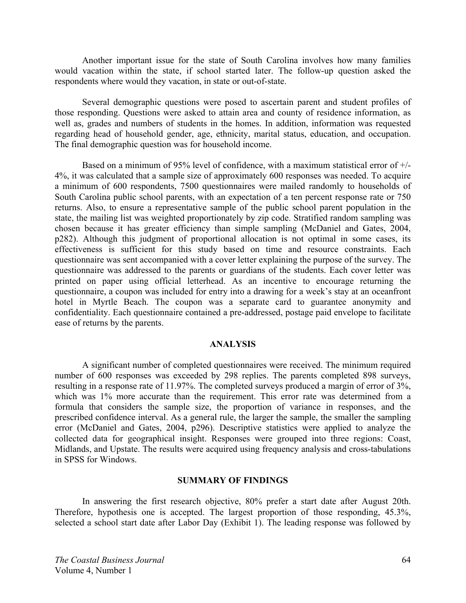Another important issue for the state of South Carolina involves how many families would vacation within the state, if school started later. The follow-up question asked the respondents where would they vacation, in state or out-of-state.

 Several demographic questions were posed to ascertain parent and student profiles of those responding. Questions were asked to attain area and county of residence information, as well as, grades and numbers of students in the homes. In addition, information was requested regarding head of household gender, age, ethnicity, marital status, education, and occupation. The final demographic question was for household income.

 Based on a minimum of 95% level of confidence, with a maximum statistical error of +/- 4%, it was calculated that a sample size of approximately 600 responses was needed. To acquire a minimum of 600 respondents, 7500 questionnaires were mailed randomly to households of South Carolina public school parents, with an expectation of a ten percent response rate or 750 returns. Also, to ensure a representative sample of the public school parent population in the state, the mailing list was weighted proportionately by zip code. Stratified random sampling was chosen because it has greater efficiency than simple sampling (McDaniel and Gates, 2004, p282). Although this judgment of proportional allocation is not optimal in some cases, its effectiveness is sufficient for this study based on time and resource constraints. Each questionnaire was sent accompanied with a cover letter explaining the purpose of the survey. The questionnaire was addressed to the parents or guardians of the students. Each cover letter was printed on paper using official letterhead. As an incentive to encourage returning the questionnaire, a coupon was included for entry into a drawing for a week's stay at an oceanfront hotel in Myrtle Beach. The coupon was a separate card to guarantee anonymity and confidentiality. Each questionnaire contained a pre-addressed, postage paid envelope to facilitate ease of returns by the parents.

#### **ANALYSIS**

 A significant number of completed questionnaires were received. The minimum required number of 600 responses was exceeded by 298 replies. The parents completed 898 surveys, resulting in a response rate of 11.97%. The completed surveys produced a margin of error of 3%, which was 1% more accurate than the requirement. This error rate was determined from a formula that considers the sample size, the proportion of variance in responses, and the prescribed confidence interval. As a general rule, the larger the sample, the smaller the sampling error (McDaniel and Gates, 2004, p296). Descriptive statistics were applied to analyze the collected data for geographical insight. Responses were grouped into three regions: Coast, Midlands, and Upstate. The results were acquired using frequency analysis and cross-tabulations in SPSS for Windows.

#### **SUMMARY OF FINDINGS**

 In answering the first research objective, 80% prefer a start date after August 20th. Therefore, hypothesis one is accepted. The largest proportion of those responding, 45.3%, selected a school start date after Labor Day (Exhibit 1). The leading response was followed by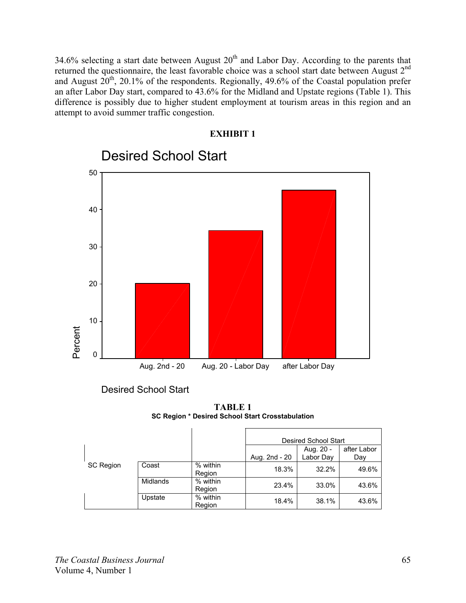34.6% selecting a start date between August  $20<sup>th</sup>$  and Labor Day. According to the parents that returned the questionnaire, the least favorable choice was a school start date between August 2nd and August  $20^{th}$ , 20.1% of the respondents. Regionally, 49.6% of the Coastal population prefer an after Labor Day start, compared to 43.6% for the Midland and Upstate regions (Table 1). This difference is possibly due to higher student employment at tourism areas in this region and an attempt to avoid summer traffic congestion.

**EXHIBIT 1** 



Desired School Start

**TABLE 1 SC Region \* Desired School Start Crosstabulation** 

|                  |                 |                    | <b>Desired School Start</b>                                   |       |       |
|------------------|-----------------|--------------------|---------------------------------------------------------------|-------|-------|
|                  |                 |                    | after Labor<br>Aug. 20 -<br>Aug. 2nd - 20<br>Labor Day<br>Day |       |       |
| <b>SC Region</b> | Coast           | % within<br>Region | 18.3%                                                         | 32.2% | 49.6% |
|                  | <b>Midlands</b> | % within<br>Region | 23.4%                                                         | 33.0% | 43.6% |
|                  | Upstate         | % within<br>Region | 18.4%                                                         | 38.1% | 43.6% |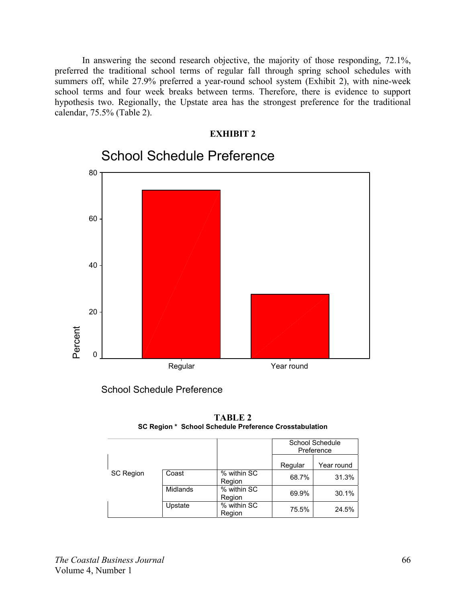In answering the second research objective, the majority of those responding, 72.1%, preferred the traditional school terms of regular fall through spring school schedules with summers off, while 27.9% preferred a year-round school system (Exhibit 2), with nine-week school terms and four week breaks between terms. Therefore, there is evidence to support hypothesis two. Regionally, the Upstate area has the strongest preference for the traditional calendar, 75.5% (Table 2).



School Schedule Preference

**TABLE 2 SC Region \* School Schedule Preference Crosstabulation** 

|                  |                                   |                       | School Schedule<br>Preference |            |
|------------------|-----------------------------------|-----------------------|-------------------------------|------------|
|                  |                                   |                       | Regular                       | Year round |
| <b>SC Region</b> | Coast                             | % within SC<br>Region | 68.7%                         | 31.3%      |
|                  | % within SC<br>Midlands<br>Region | 69.9%                 | 30.1%                         |            |
|                  | Upstate                           | % within SC<br>Region | 75.5%                         | 24.5%      |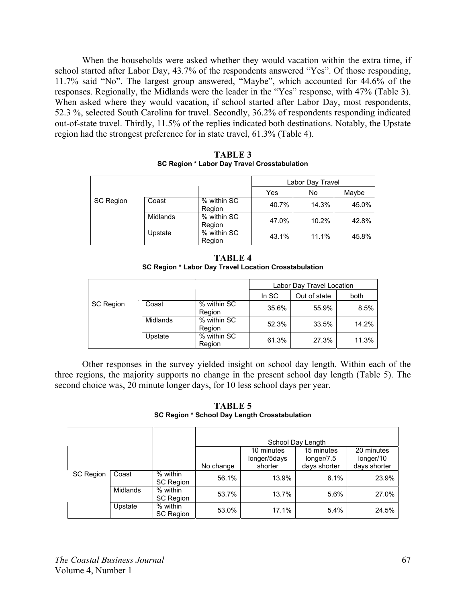When the households were asked whether they would vacation within the extra time, if school started after Labor Day, 43.7% of the respondents answered "Yes". Of those responding, 11.7% said "No". The largest group answered, "Maybe", which accounted for 44.6% of the responses. Regionally, the Midlands were the leader in the "Yes" response, with 47% (Table 3). When asked where they would vacation, if school started after Labor Day, most respondents, 52.3 %, selected South Carolina for travel. Secondly, 36.2% of respondents responding indicated out-of-state travel. Thirdly, 11.5% of the replies indicated both destinations. Notably, the Upstate region had the strongest preference for in state travel, 61.3% (Table 4).

|                  |          |                       | Labor Day Travel   |       |       |
|------------------|----------|-----------------------|--------------------|-------|-------|
|                  |          |                       | Yes<br>Maybe<br>No |       |       |
| <b>SC Region</b> | Coast    | % within SC<br>Region | 40.7%              | 14.3% | 45.0% |
|                  | Midlands | % within SC<br>Region | 47.0%              | 10.2% | 42.8% |
|                  | Upstate  | % within SC<br>Region | 43.1%              | 11.1% | 45.8% |

**TABLE 3 SC Region \* Labor Day Travel Crosstabulation** 

| <b>TABLE 4</b>                                        |
|-------------------------------------------------------|
| SC Region * Labor Day Travel Location Crosstabulation |

|                  |          |                       | Labor Day Travel Location     |       |         |
|------------------|----------|-----------------------|-------------------------------|-------|---------|
|                  |          |                       | In SC<br>Out of state<br>both |       |         |
| <b>SC Region</b> | Coast    | % within SC<br>Region | 35.6%                         | 55.9% | $8.5\%$ |
|                  | Midlands | % within SC<br>Region | 52.3%                         | 33.5% | 14.2%   |
|                  | Upstate  | % within SC<br>Region | 61.3%                         | 27.3% | 11.3%   |

Other responses in the survey yielded insight on school day length. Within each of the three regions, the majority supports no change in the present school day length (Table 5). The second choice was, 20 minute longer days, for 10 less school days per year.

**TABLE 5 SC Region \* School Day Length Crosstabulation** 

|                  |                 |                              |              | 10 minutes   | School Day Length<br>15 minutes | 20 minutes |
|------------------|-----------------|------------------------------|--------------|--------------|---------------------------------|------------|
|                  |                 |                              | longer/5days | longer/7.5   | longer/10                       |            |
|                  |                 | No change                    | shorter      | days shorter | days shorter                    |            |
| <b>SC Region</b> | Coast           | % within<br><b>SC Region</b> | 56.1%        | 13.9%        | 6.1%                            | 23.9%      |
|                  | <b>Midlands</b> | % within<br><b>SC Region</b> | 53.7%        | 13.7%        | 5.6%                            | 27.0%      |
|                  | Upstate         | % within<br><b>SC Region</b> | 53.0%        | 17.1%        | 5.4%                            | 24.5%      |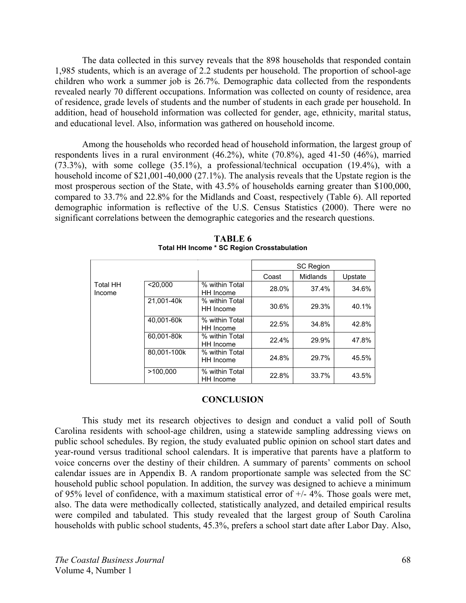The data collected in this survey reveals that the 898 households that responded contain 1,985 students, which is an average of 2.2 students per household. The proportion of school-age children who work a summer job is 26.7%. Demographic data collected from the respondents revealed nearly 70 different occupations. Information was collected on county of residence, area of residence, grade levels of students and the number of students in each grade per household. In addition, head of household information was collected for gender, age, ethnicity, marital status, and educational level. Also, information was gathered on household income.

Among the households who recorded head of household information, the largest group of respondents lives in a rural environment (46.2%), white (70.8%), aged 41-50 (46%), married (73.3%), with some college (35.1%), a professional/technical occupation (19.4%), with a household income of \$21,001-40,000 (27.1%). The analysis reveals that the Upstate region is the most prosperous section of the State, with 43.5% of households earning greater than \$100,000, compared to 33.7% and 22.8% for the Midlands and Coast, respectively (Table 6). All reported demographic information is reflective of the U.S. Census Statistics (2000). There were no significant correlations between the demographic categories and the research questions.

|                           |             |                             | <b>SC Region</b> |          |         |
|---------------------------|-------------|-----------------------------|------------------|----------|---------|
|                           |             |                             | Coast            | Midlands | Upstate |
| <b>Total HH</b><br>Income | $<$ 20.000  | % within Total<br>HH Income | 28.0%            | 37.4%    | 34.6%   |
|                           | 21,001-40k  | % within Total<br>HH Income | 30.6%            | 29.3%    | 40.1%   |
|                           | 40,001-60k  | % within Total<br>HH Income | 22.5%            | 34.8%    | 42.8%   |
|                           | 60.001-80k  | % within Total<br>HH Income | 22.4%            | 29.9%    | 47.8%   |
|                           | 80,001-100k | % within Total<br>HH Income | 24.8%            | 29.7%    | 45.5%   |
|                           | >100.000    | % within Total<br>HH Income | 22.8%            | 33.7%    | 43.5%   |

**TABLE 6 Total HH Income \* SC Region Crosstabulation** 

#### **CONCLUSION**

This study met its research objectives to design and conduct a valid poll of South Carolina residents with school-age children, using a statewide sampling addressing views on public school schedules. By region, the study evaluated public opinion on school start dates and year-round versus traditional school calendars. It is imperative that parents have a platform to voice concerns over the destiny of their children. A summary of parents' comments on school calendar issues are in Appendix B. A random proportionate sample was selected from the SC household public school population. In addition, the survey was designed to achieve a minimum of 95% level of confidence, with a maximum statistical error of  $+/- 4\%$ . Those goals were met, also. The data were methodically collected, statistically analyzed, and detailed empirical results were compiled and tabulated. This study revealed that the largest group of South Carolina households with public school students, 45.3%, prefers a school start date after Labor Day. Also,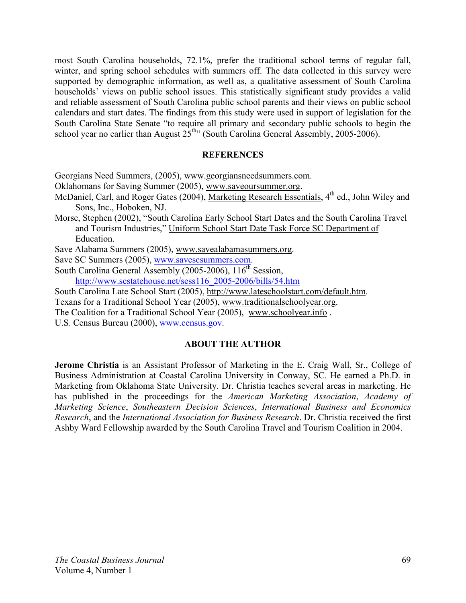most South Carolina households, 72.1%, prefer the traditional school terms of regular fall, winter, and spring school schedules with summers off. The data collected in this survey were supported by demographic information, as well as, a qualitative assessment of South Carolina households' views on public school issues. This statistically significant study provides a valid and reliable assessment of South Carolina public school parents and their views on public school calendars and start dates. The findings from this study were used in support of legislation for the South Carolina State Senate "to require all primary and secondary public schools to begin the school year no earlier than August  $25^{th}$  (South Carolina General Assembly, 2005-2006).

## **REFERENCES**

Georgians Need Summers, (2005), www.georgiansneedsummers.com.

- Oklahomans for Saving Summer (2005), www.saveoursummer.org.
- McDaniel, Carl, and Roger Gates (2004), Marketing Research Essentials,  $4<sup>th</sup>$  ed., John Wiley and Sons, Inc., Hoboken, NJ.
- Morse, Stephen (2002), "South Carolina Early School Start Dates and the South Carolina Travel and Tourism Industries," Uniform School Start Date Task Force SC Department of Education.

Save Alabama Summers (2005), www.savealabamasummers.org.

Save SC Summers (2005), www.savescsummers.com.

- South Carolina General Assembly (2005-2006),  $116<sup>th</sup>$  Session, http://www.scstatehouse.net/sess116\_2005-2006/bills/54.htm
- South Carolina Late School Start (2005), http://www.lateschoolstart.com/default.htm.

Texans for a Traditional School Year (2005), www.traditionalschoolyear.org.

The Coalition for a Traditional School Year (2005), www.schoolyear.info .

U.S. Census Bureau (2000), www.census.gov.

## **ABOUT THE AUTHOR**

**Jerome Christia** is an Assistant Professor of Marketing in the E. Craig Wall, Sr., College of Business Administration at Coastal Carolina University in Conway, SC. He earned a Ph.D. in Marketing from Oklahoma State University. Dr. Christia teaches several areas in marketing. He has published in the proceedings for the *American Marketing Association*, *Academy of Marketing Science*, *Southeastern Decision Sciences*, *International Business and Economics Research*, and the *International Association for Business Research*. Dr. Christia received the first Ashby Ward Fellowship awarded by the South Carolina Travel and Tourism Coalition in 2004.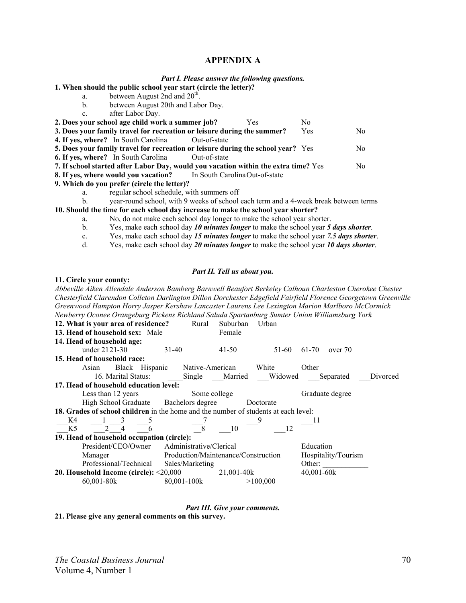#### **APPENDIX A**

| Part I. Please answer the following questions. |  |  |
|------------------------------------------------|--|--|
|                                                |  |  |

**1. When should the public school year start (circle the letter)?** 

- a. between August 2nd and  $20<sup>th</sup>$ .
	- b. between August 20th and Labor Day.
	- c. after Labor Day.

|                                                                                     | 2. Does your school age child work a summer job?                                                                   |              | Yes | N0  |     |
|-------------------------------------------------------------------------------------|--------------------------------------------------------------------------------------------------------------------|--------------|-----|-----|-----|
|                                                                                     | 3. Does your family travel for recreation or leisure during the summer?                                            |              |     | Yes | No. |
|                                                                                     | <b>4. If yes, where?</b> In South Carolina                                                                         | Out-of-state |     |     |     |
|                                                                                     | 5. Does your family travel for recreation or leisure during the school year? Yes                                   |              |     |     | No. |
|                                                                                     | <b>6. If yes, where?</b> In South Carolina                                                                         | Out-of-state |     |     |     |
| 7. If school started after Labor Day, would you vacation within the extra time? Yes |                                                                                                                    |              |     |     |     |
|                                                                                     | <b>8. If yes, where would you vacation?</b> In South Carolina Out-of-state                                         |              |     |     |     |
|                                                                                     | $\mathbf{A}$ Wilder dependence on $\mathbf{f}$ and $\mathbf{f}$ and $\mathbf{f}$ and $\mathbf{f}$ and $\mathbf{f}$ |              |     |     |     |

- **9. Which do you prefer (circle the letter)?** 
	- a. regular school schedule, with summers off
	- b. year-round school, with 9 weeks of school each term and a 4-week break between terms

**10. Should the time for each school day increase to make the school year shorter?** 

- a. No, do not make each school day longer to make the school year shorter.
- b. Yes, make each school day *10 minutes longer* to make the school year *5 days shorter*.
- c. Yes, make each school day *15 minutes longer* to make the school year *7.5 days shorter*.
- d. Yes, make each school day *20 minutes longer* to make the school year *10 days shorter*.

#### *Part II. Tell us about you.*

#### **11. Circle your county:**

*Abbeville Aiken Allendale Anderson Bamberg Barnwell Beaufort Berkeley Calhoun Charleston Cherokee Chester Chesterfield Clarendon Colleton Darlington Dillon Dorchester Edgefield Fairfield Florence Georgetown Greenville Greenwood Hampton Horry Jasper Kershaw Lancaster Laurens Lee Lexington Marion Marlboro McCormick Newberry Oconee Orangeburg Pickens Richland Saluda Spartanburg Sumter Union Williamsburg York* **12. What is your area of residence?** Rural Suburban Urban **13. Head of household sex:** Male Female **14. Head of household age:** under 21 21 - 30 31 - 40 41 - 50 51 - 60 61 - 70 over 70 **15. Head of household race:** Asian Black Hispanic Native-American White Other 16. Marital Status: Single Married Widowed Separated Divorced **17. Head of household education level:** Less than 12 years Some college Graduate degree High School Graduate Bachelors degree Doctorate **18. Grades of school children** in the home and the number of students at each level: \_\_\_K4 \_\_\_1 \_\_\_3 \_\_\_5 \_\_\_7 \_\_\_9 \_\_\_11  $K5$  2 4 6 8 10 12 **19. Head of household occupation (circle):** President/CEO/Owner Administrative/Clerical Education Manager Production/Maintenance/Construction Hospitality/Tourism Professional/Technical Sales/Marketing Other: **20. Household Income (circle):** <20,000 21,001-40k 40,001-60k 60,001-80k 80,001-100k >100,000

*Part III. Give your comments.*

**21. Please give any general comments on this survey.**